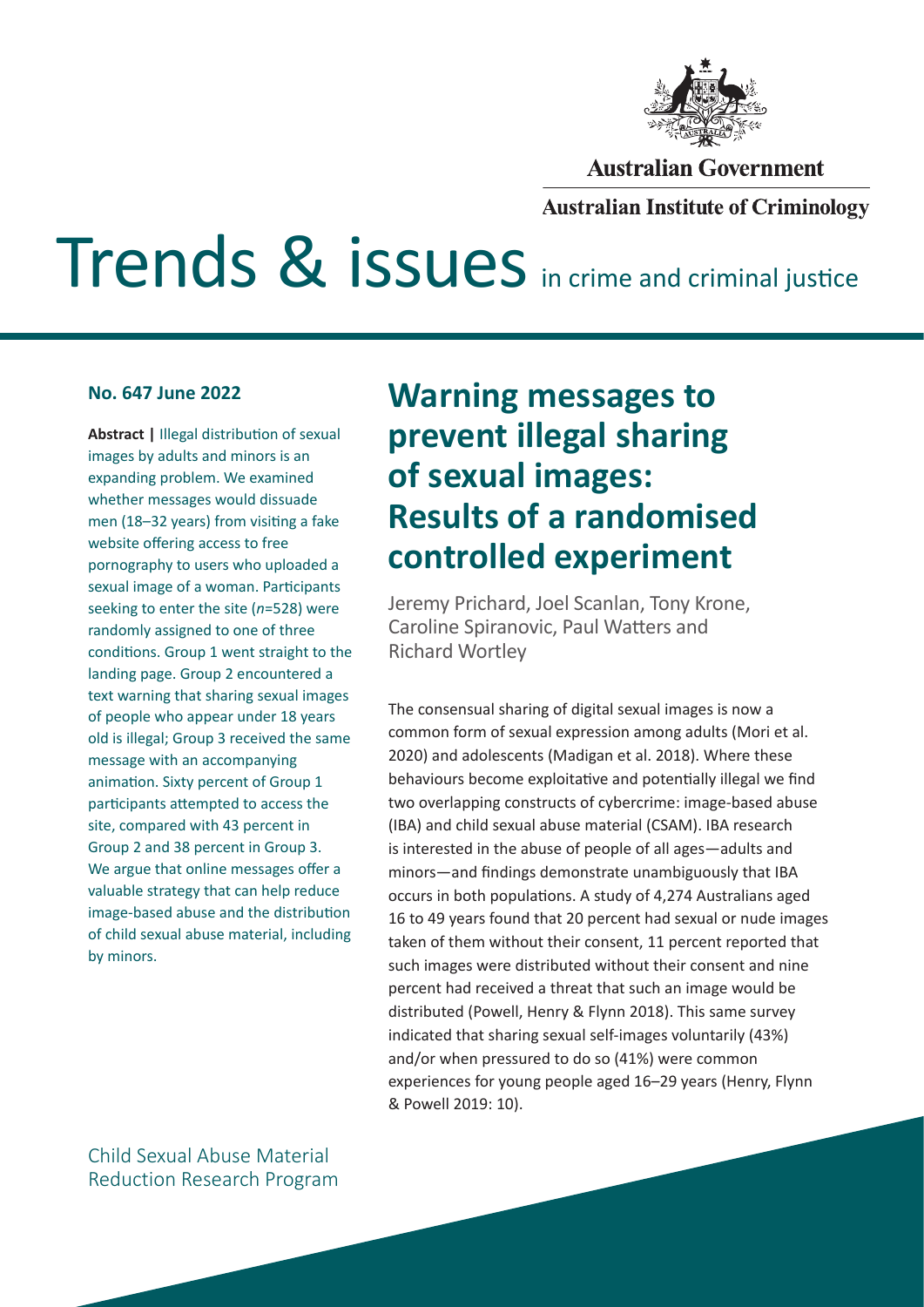

### **Australian Government**

### **Australian Institute of Criminology**

# Trends & issues in crime and criminal justice

**Abstract |** Illegal distribution of sexual images by adults and minors is an expanding problem. We examined whether messages would dissuade men (18–32 years) from visiting a fake website offering access to free pornography to users who uploaded a sexual image of a woman. Participants seeking to enter the site (*n*=528) were randomly assigned to one of three conditions. Group 1 went straight to the landing page. Group 2 encountered a text warning that sharing sexual images of people who appear under 18 years old is illegal; Group 3 received the same message with an accompanying animation. Sixty percent of Group 1 participants attempted to access the site, compared with 43 percent in Group 2 and 38 percent in Group 3. We argue that online messages offer a valuable strategy that can help reduce image-based abuse and the distribution of child sexual abuse material, including by minors.

# **No. 647 June 2022 Warning messages to prevent illegal sharing of sexual images: Results of a randomised controlled experiment**

Jeremy Prichard, Joel Scanlan, Tony Krone, Caroline Spiranovic, Paul Watters and Richard Wortley

The consensual sharing of digital sexual images is now a common form of sexual expression among adults (Mori et al. 2020) and adolescents (Madigan et al. 2018). Where these behaviours become exploitative and potentially illegal we find two overlapping constructs of cybercrime: image-based abuse (IBA) and child sexual abuse material (CSAM). IBA research is interested in the abuse of people of all ages—adults and minors—and findings demonstrate unambiguously that IBA occurs in both populations. A study of 4,274 Australians aged 16 to 49 years found that 20 percent had sexual or nude images taken of them without their consent, 11 percent reported that such images were distributed without their consent and nine percent had received a threat that such an image would be distributed (Powell, Henry & Flynn 2018). This same survey indicated that sharing sexual self-images voluntarily (43%) and/or when pressured to do so (41%) were common experiences for young people aged 16–29 years (Henry, Flynn & Powell 2019: 10).

Child Sexual Abuse Material Reduction Research Program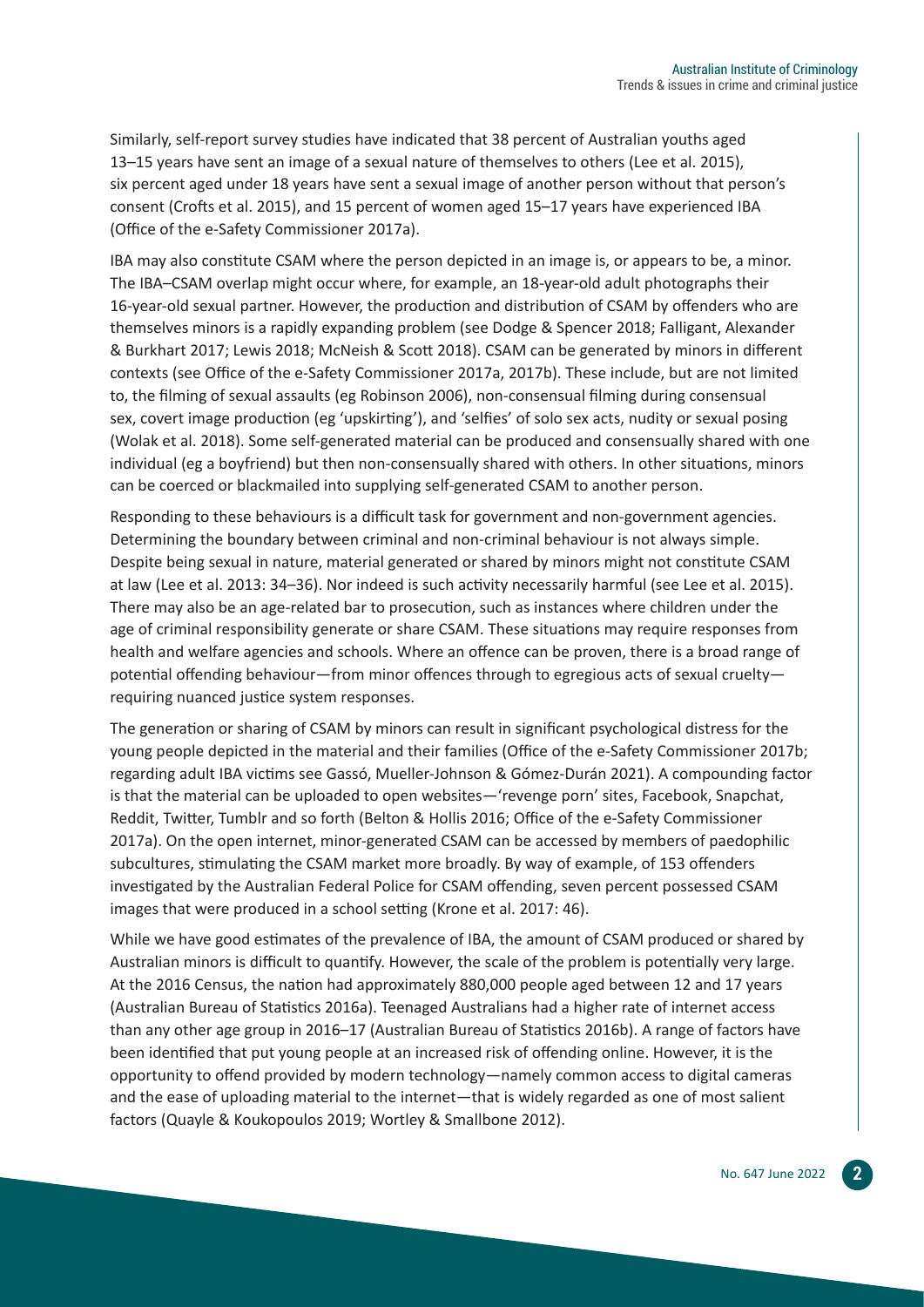Similarly, self-report survey studies have indicated that 38 percent of Australian youths aged 13–15 years have sent an image of a sexual nature of themselves to others (Lee et al. 2015), six percent aged under 18 years have sent a sexual image of another person without that person's consent (Crofts et al. 2015), and 15 percent of women aged 15–17 years have experienced IBA (Office of the e-Safety Commissioner 2017a).

IBA may also constitute CSAM where the person depicted in an image is, or appears to be, a minor. The IBA–CSAM overlap might occur where, for example, an 18-year-old adult photographs their 16-year-old sexual partner. However, the production and distribution of CSAM by offenders who are themselves minors is a rapidly expanding problem (see Dodge & Spencer 2018; Falligant, Alexander & Burkhart 2017; Lewis 2018; McNeish & Scott 2018). CSAM can be generated by minors in different contexts (see Office of the e-Safety Commissioner 2017a, 2017b). These include, but are not limited to, the filming of sexual assaults (eg Robinson 2006), non-consensual filming during consensual sex, covert image production (eg 'upskirting'), and 'selfies' of solo sex acts, nudity or sexual posing (Wolak et al. 2018). Some self-generated material can be produced and consensually shared with one individual (eg a boyfriend) but then non-consensually shared with others. In other situations, minors can be coerced or blackmailed into supplying self-generated CSAM to another person.

Responding to these behaviours is a difficult task for government and non-government agencies. Determining the boundary between criminal and non-criminal behaviour is not always simple. Despite being sexual in nature, material generated or shared by minors might not constitute CSAM at law (Lee et al. 2013: 34–36). Nor indeed is such activity necessarily harmful (see Lee et al. 2015). There may also be an age-related bar to prosecution, such as instances where children under the age of criminal responsibility generate or share CSAM. These situations may require responses from health and welfare agencies and schools. Where an offence can be proven, there is a broad range of potential offending behaviour—from minor offences through to egregious acts of sexual cruelty requiring nuanced justice system responses.

The generation or sharing of CSAM by minors can result in significant psychological distress for the young people depicted in the material and their families (Office of the e-Safety Commissioner 2017b; regarding adult IBA victims see Gassó, Mueller-Johnson & Gómez-Durán 2021). A compounding factor is that the material can be uploaded to open websites—'revenge porn' sites, Facebook, Snapchat, Reddit, Twitter, Tumblr and so forth (Belton & Hollis 2016; Office of the e-Safety Commissioner 2017a). On the open internet, minor-generated CSAM can be accessed by members of paedophilic subcultures, stimulating the CSAM market more broadly. By way of example, of 153 offenders investigated by the Australian Federal Police for CSAM offending, seven percent possessed CSAM images that were produced in a school setting (Krone et al. 2017: 46).

While we have good estimates of the prevalence of IBA, the amount of CSAM produced or shared by Australian minors is difficult to quantify. However, the scale of the problem is potentially very large. At the 2016 Census, the nation had approximately 880,000 people aged between 12 and 17 years (Australian Bureau of Statistics 2016a). Teenaged Australians had a higher rate of internet access than any other age group in 2016–17 (Australian Bureau of Statistics 2016b). A range of factors have been identified that put young people at an increased risk of offending online. However, it is the opportunity to offend provided by modern technology—namely common access to digital cameras and the ease of uploading material to the internet—that is widely regarded as one of most salient factors (Quayle & Koukopoulos 2019; Wortley & Smallbone 2012).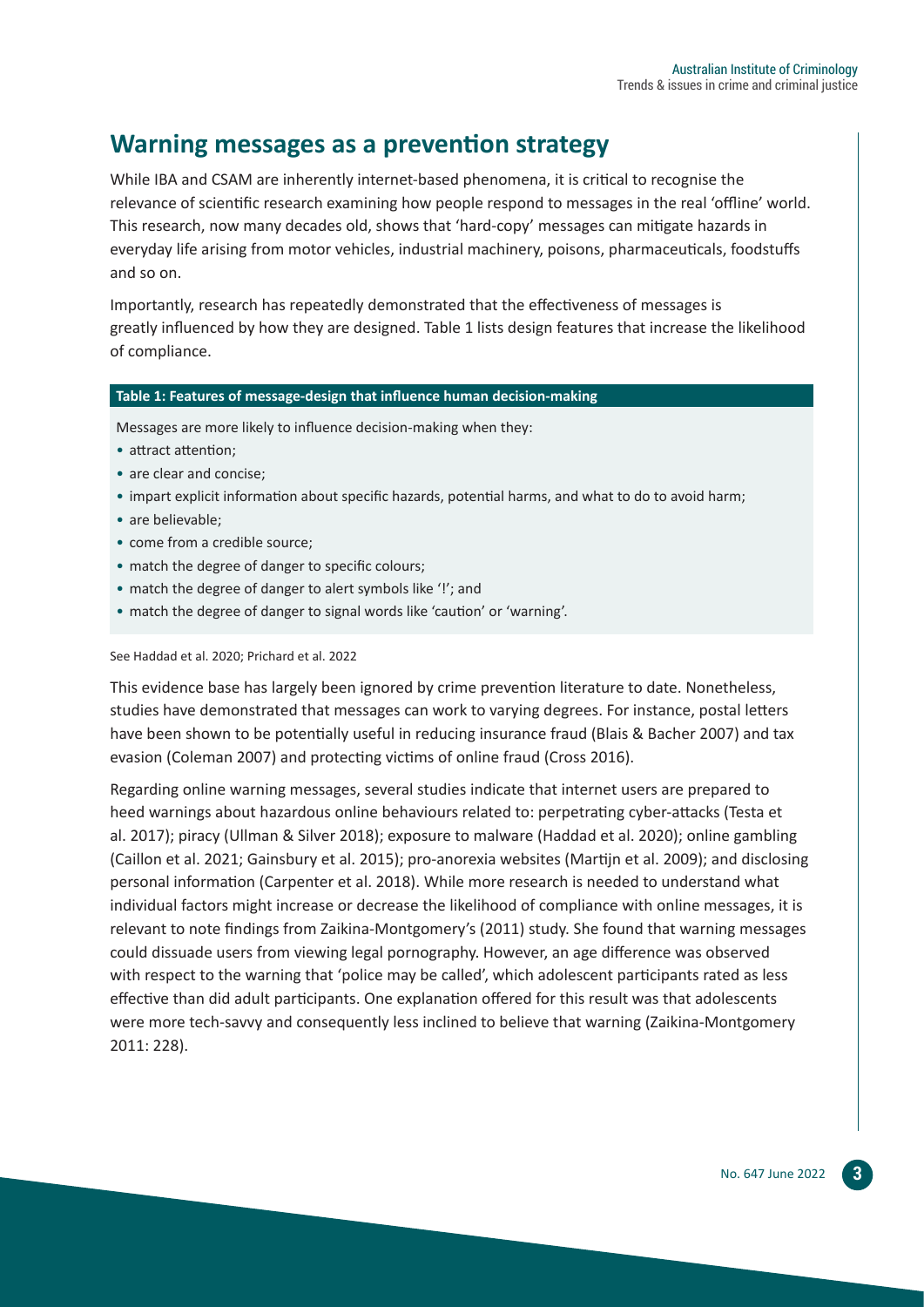## **Warning messages as a prevention strategy**

While IBA and CSAM are inherently internet-based phenomena, it is critical to recognise the relevance of scientific research examining how people respond to messages in the real 'offline' world. This research, now many decades old, shows that 'hard-copy' messages can mitigate hazards in everyday life arising from motor vehicles, industrial machinery, poisons, pharmaceuticals, foodstuffs and so on.

Importantly, research has repeatedly demonstrated that the effectiveness of messages is greatly influenced by how they are designed. Table 1 lists design features that increase the likelihood of compliance.

#### **Table 1: Features of message-design that influence human decision-making**

Messages are more likely to influence decision-making when they:

- attract attention;
- are clear and concise:
- impart explicit information about specific hazards, potential harms, and what to do to avoid harm;
- are believable;
- come from a credible source;
- match the degree of danger to specific colours;
- match the degree of danger to alert symbols like '!'; and
- match the degree of danger to signal words like 'caution' or 'warning'.

#### See Haddad et al. 2020; Prichard et al. 2022

This evidence base has largely been ignored by crime prevention literature to date. Nonetheless, studies have demonstrated that messages can work to varying degrees. For instance, postal letters have been shown to be potentially useful in reducing insurance fraud (Blais & Bacher 2007) and tax evasion (Coleman 2007) and protecting victims of online fraud (Cross 2016).

Regarding online warning messages, several studies indicate that internet users are prepared to heed warnings about hazardous online behaviours related to: perpetrating cyber-attacks (Testa et al. 2017); piracy (Ullman & Silver 2018); exposure to malware (Haddad et al. 2020); online gambling (Caillon et al. 2021; Gainsbury et al. 2015); pro-anorexia websites (Martijn et al. 2009); and disclosing personal information (Carpenter et al. 2018). While more research is needed to understand what individual factors might increase or decrease the likelihood of compliance with online messages, it is relevant to note findings from Zaikina-Montgomery's (2011) study. She found that warning messages could dissuade users from viewing legal pornography. However, an age difference was observed with respect to the warning that 'police may be called', which adolescent participants rated as less effective than did adult participants. One explanation offered for this result was that adolescents were more tech-savvy and consequently less inclined to believe that warning (Zaikina-Montgomery 2011: 228).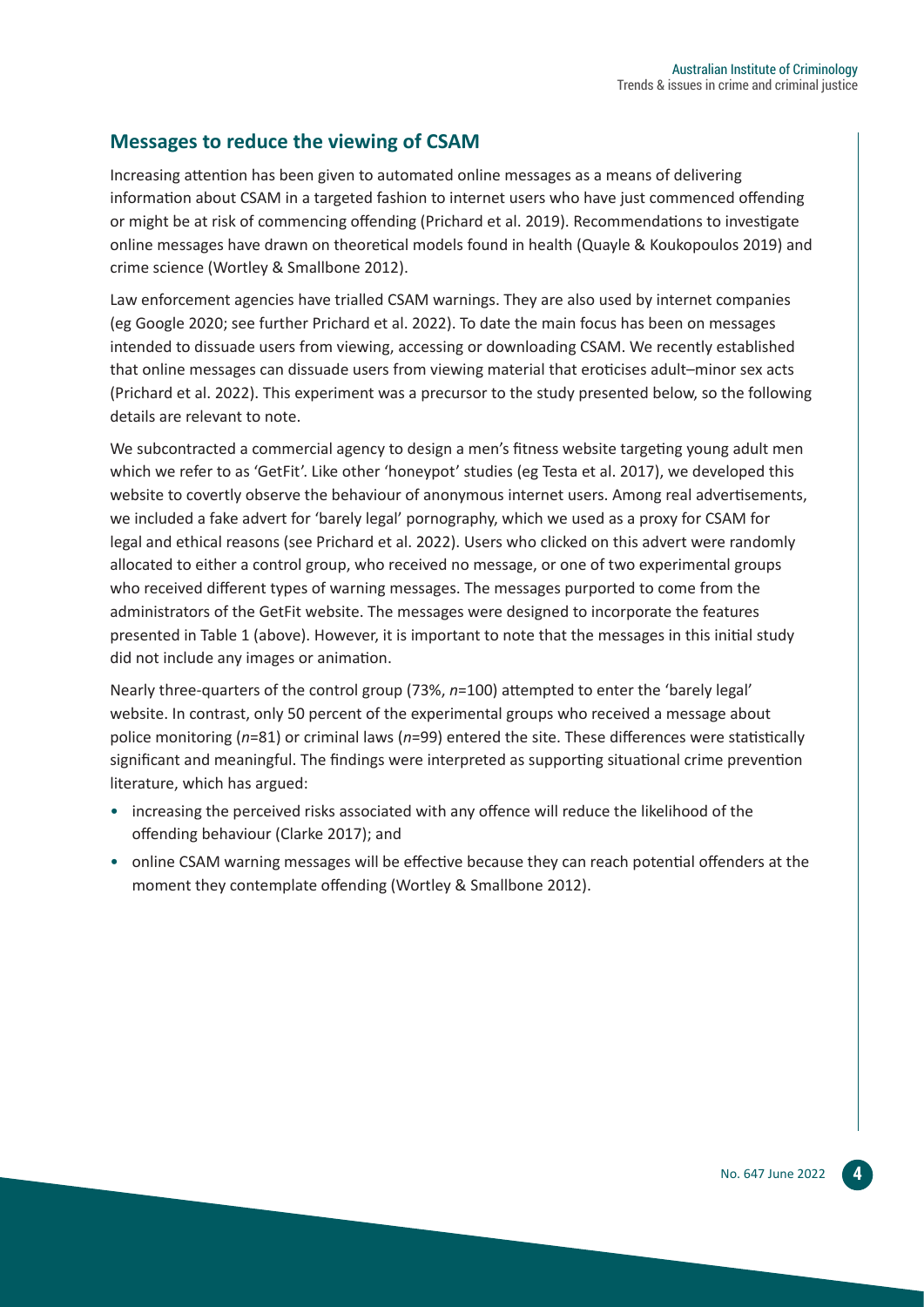#### **Messages to reduce the viewing of CSAM**

Increasing attention has been given to automated online messages as a means of delivering information about CSAM in a targeted fashion to internet users who have just commenced offending or might be at risk of commencing offending (Prichard et al. 2019). Recommendations to investigate online messages have drawn on theoretical models found in health (Quayle & Koukopoulos 2019) and crime science (Wortley & Smallbone 2012).

Law enforcement agencies have trialled CSAM warnings. They are also used by internet companies (eg Google 2020; see further Prichard et al. 2022). To date the main focus has been on messages intended to dissuade users from viewing, accessing or downloading CSAM. We recently established that online messages can dissuade users from viewing material that eroticises adult–minor sex acts (Prichard et al. 2022). This experiment was a precursor to the study presented below, so the following details are relevant to note.

We subcontracted a commercial agency to design a men's fitness website targeting young adult men which we refer to as 'GetFit'. Like other 'honeypot' studies (eg Testa et al. 2017), we developed this website to covertly observe the behaviour of anonymous internet users. Among real advertisements, we included a fake advert for 'barely legal' pornography, which we used as a proxy for CSAM for legal and ethical reasons (see Prichard et al. 2022). Users who clicked on this advert were randomly allocated to either a control group, who received no message, or one of two experimental groups who received different types of warning messages. The messages purported to come from the administrators of the GetFit website. The messages were designed to incorporate the features presented in Table 1 (above). However, it is important to note that the messages in this initial study did not include any images or animation.

Nearly three-quarters of the control group (73%, *n*=100) attempted to enter the 'barely legal' website. In contrast, only 50 percent of the experimental groups who received a message about police monitoring (*n*=81) or criminal laws (*n*=99) entered the site. These differences were statistically significant and meaningful. The findings were interpreted as supporting situational crime prevention literature, which has argued:

- increasing the perceived risks associated with any offence will reduce the likelihood of the offending behaviour (Clarke 2017); and
- online CSAM warning messages will be effective because they can reach potential offenders at the moment they contemplate offending (Wortley & Smallbone 2012).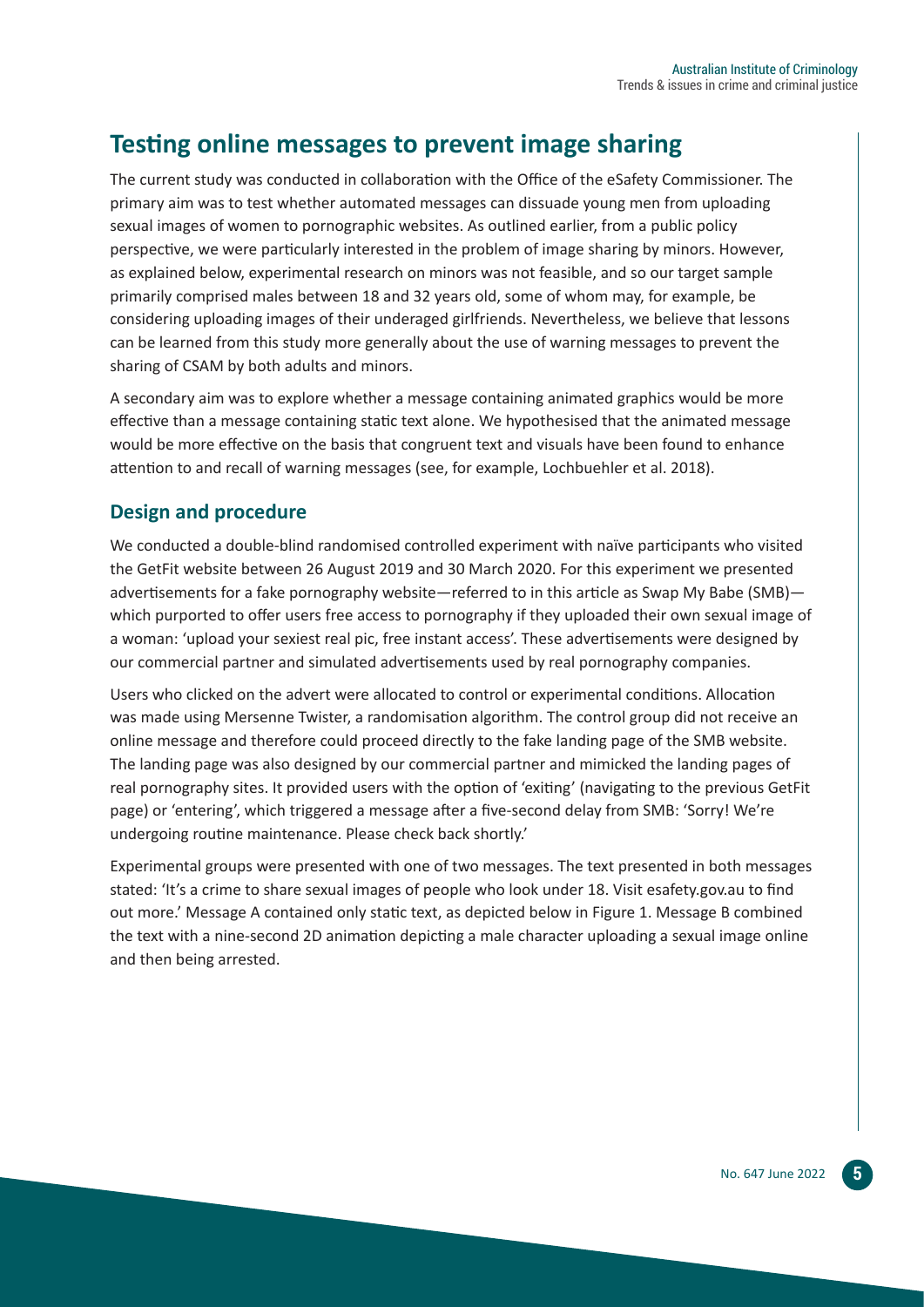# **Testing online messages to prevent image sharing**

The current study was conducted in collaboration with the Office of the eSafety Commissioner. The primary aim was to test whether automated messages can dissuade young men from uploading sexual images of women to pornographic websites. As outlined earlier, from a public policy perspective, we were particularly interested in the problem of image sharing by minors. However, as explained below, experimental research on minors was not feasible, and so our target sample primarily comprised males between 18 and 32 years old, some of whom may, for example, be considering uploading images of their underaged girlfriends. Nevertheless, we believe that lessons can be learned from this study more generally about the use of warning messages to prevent the sharing of CSAM by both adults and minors.

A secondary aim was to explore whether a message containing animated graphics would be more effective than a message containing static text alone. We hypothesised that the animated message would be more effective on the basis that congruent text and visuals have been found to enhance attention to and recall of warning messages (see, for example, Lochbuehler et al. 2018).

#### **Design and procedure**

We conducted a double-blind randomised controlled experiment with naïve participants who visited the GetFit website between 26 August 2019 and 30 March 2020. For this experiment we presented advertisements for a fake pornography website—referred to in this article as Swap My Babe (SMB) which purported to offer users free access to pornography if they uploaded their own sexual image of a woman: 'upload your sexiest real pic, free instant access'. These advertisements were designed by our commercial partner and simulated advertisements used by real pornography companies.

Users who clicked on the advert were allocated to control or experimental conditions. Allocation was made using Mersenne Twister, a randomisation algorithm. The control group did not receive an online message and therefore could proceed directly to the fake landing page of the SMB website. The landing page was also designed by our commercial partner and mimicked the landing pages of real pornography sites. It provided users with the option of 'exiting' (navigating to the previous GetFit page) or 'entering', which triggered a message after a five-second delay from SMB: 'Sorry! We're undergoing routine maintenance. Please check back shortly.'

Experimental groups were presented with one of two messages. The text presented in both messages stated: 'It's a crime to share sexual images of people who look under 18. Visit esafety.gov.au to find out more.' Message A contained only static text, as depicted below in Figure 1. Message B combined the text with a nine-second 2D animation depicting a male character uploading a sexual image online and then being arrested.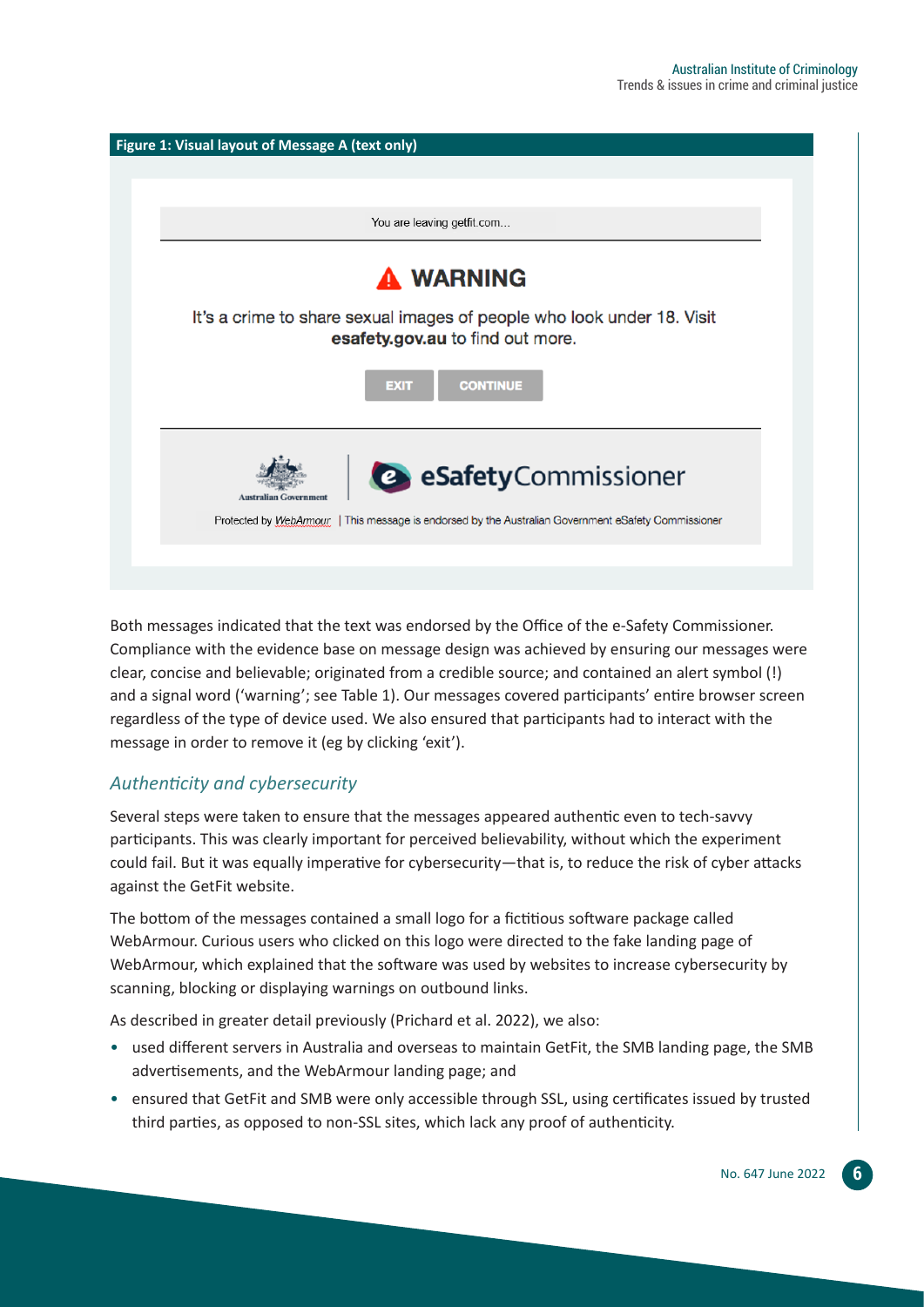

Both messages indicated that the text was endorsed by the Office of the e-Safety Commissioner. Compliance with the evidence base on message design was achieved by ensuring our messages were clear, concise and believable; originated from a credible source; and contained an alert symbol (!) and a signal word ('warning'; see Table 1). Our messages covered participants' entire browser screen regardless of the type of device used. We also ensured that participants had to interact with the message in order to remove it (eg by clicking 'exit').

#### *Authenticity and cybersecurity*

Several steps were taken to ensure that the messages appeared authentic even to tech-savvy participants. This was clearly important for perceived believability, without which the experiment could fail. But it was equally imperative for cybersecurity—that is, to reduce the risk of cyber attacks against the GetFit website.

The bottom of the messages contained a small logo for a fictitious software package called WebArmour. Curious users who clicked on this logo were directed to the fake landing page of WebArmour, which explained that the software was used by websites to increase cybersecurity by scanning, blocking or displaying warnings on outbound links.

As described in greater detail previously (Prichard et al. 2022), we also:

- used different servers in Australia and overseas to maintain GetFit, the SMB landing page, the SMB advertisements, and the WebArmour landing page; and
- ensured that GetFit and SMB were only accessible through SSL, using certificates issued by trusted third parties, as opposed to non-SSL sites, which lack any proof of authenticity.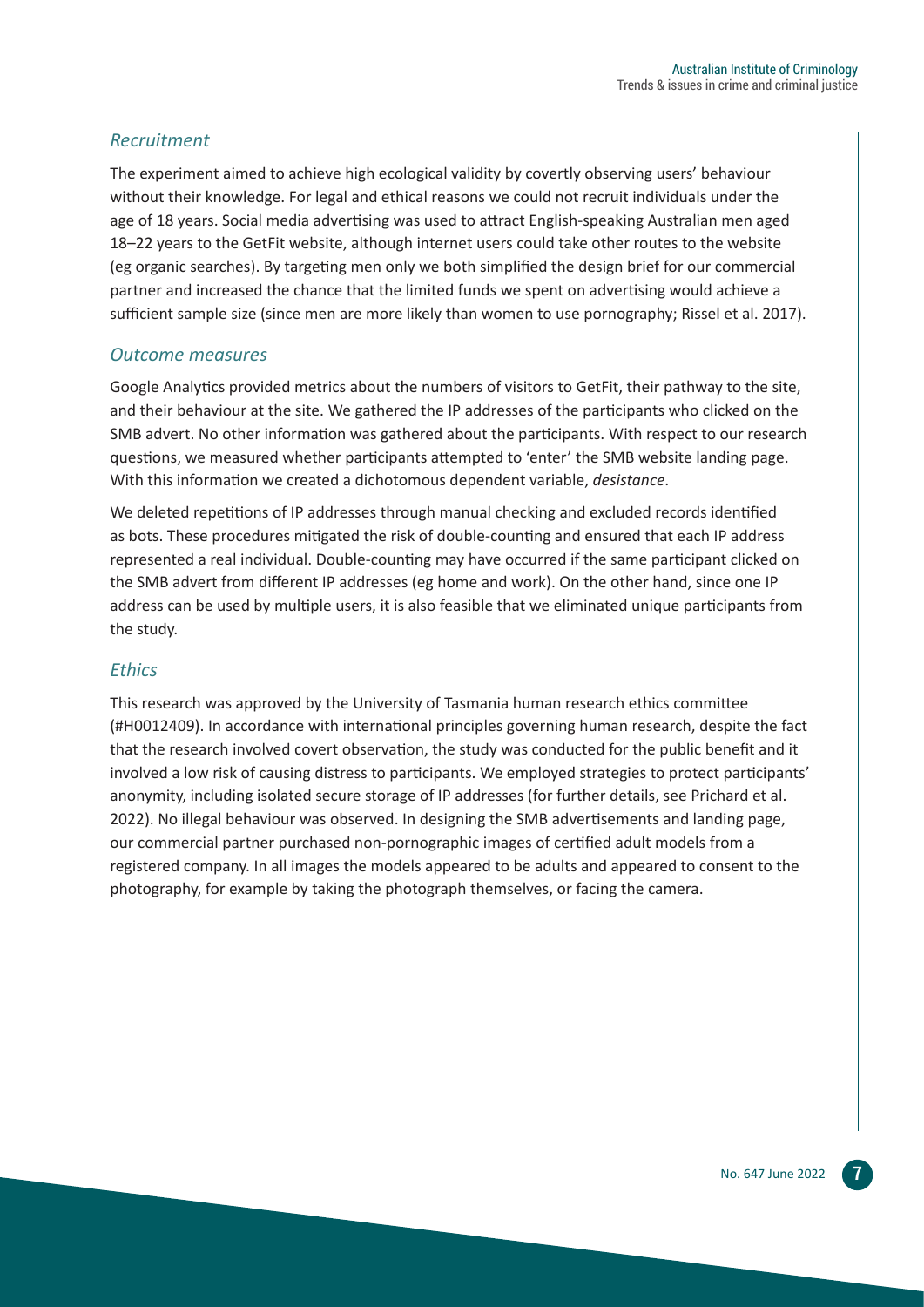#### *Recruitment*

The experiment aimed to achieve high ecological validity by covertly observing users' behaviour without their knowledge. For legal and ethical reasons we could not recruit individuals under the age of 18 years. Social media advertising was used to attract English-speaking Australian men aged 18–22 years to the GetFit website, although internet users could take other routes to the website (eg organic searches). By targeting men only we both simplified the design brief for our commercial partner and increased the chance that the limited funds we spent on advertising would achieve a sufficient sample size (since men are more likely than women to use pornography; Rissel et al. 2017).

#### *Outcome measures*

Google Analytics provided metrics about the numbers of visitors to GetFit, their pathway to the site, and their behaviour at the site. We gathered the IP addresses of the participants who clicked on the SMB advert. No other information was gathered about the participants. With respect to our research questions, we measured whether participants attempted to 'enter' the SMB website landing page. With this information we created a dichotomous dependent variable, *desistance*.

We deleted repetitions of IP addresses through manual checking and excluded records identified as bots. These procedures mitigated the risk of double-counting and ensured that each IP address represented a real individual. Double-counting may have occurred if the same participant clicked on the SMB advert from different IP addresses (eg home and work). On the other hand, since one IP address can be used by multiple users, it is also feasible that we eliminated unique participants from the study.

#### *Ethics*

This research was approved by the University of Tasmania human research ethics committee (#H0012409). In accordance with international principles governing human research, despite the fact that the research involved covert observation, the study was conducted for the public benefit and it involved a low risk of causing distress to participants. We employed strategies to protect participants' anonymity, including isolated secure storage of IP addresses (for further details, see Prichard et al. 2022). No illegal behaviour was observed. In designing the SMB advertisements and landing page, our commercial partner purchased non-pornographic images of certified adult models from a registered company. In all images the models appeared to be adults and appeared to consent to the photography, for example by taking the photograph themselves, or facing the camera.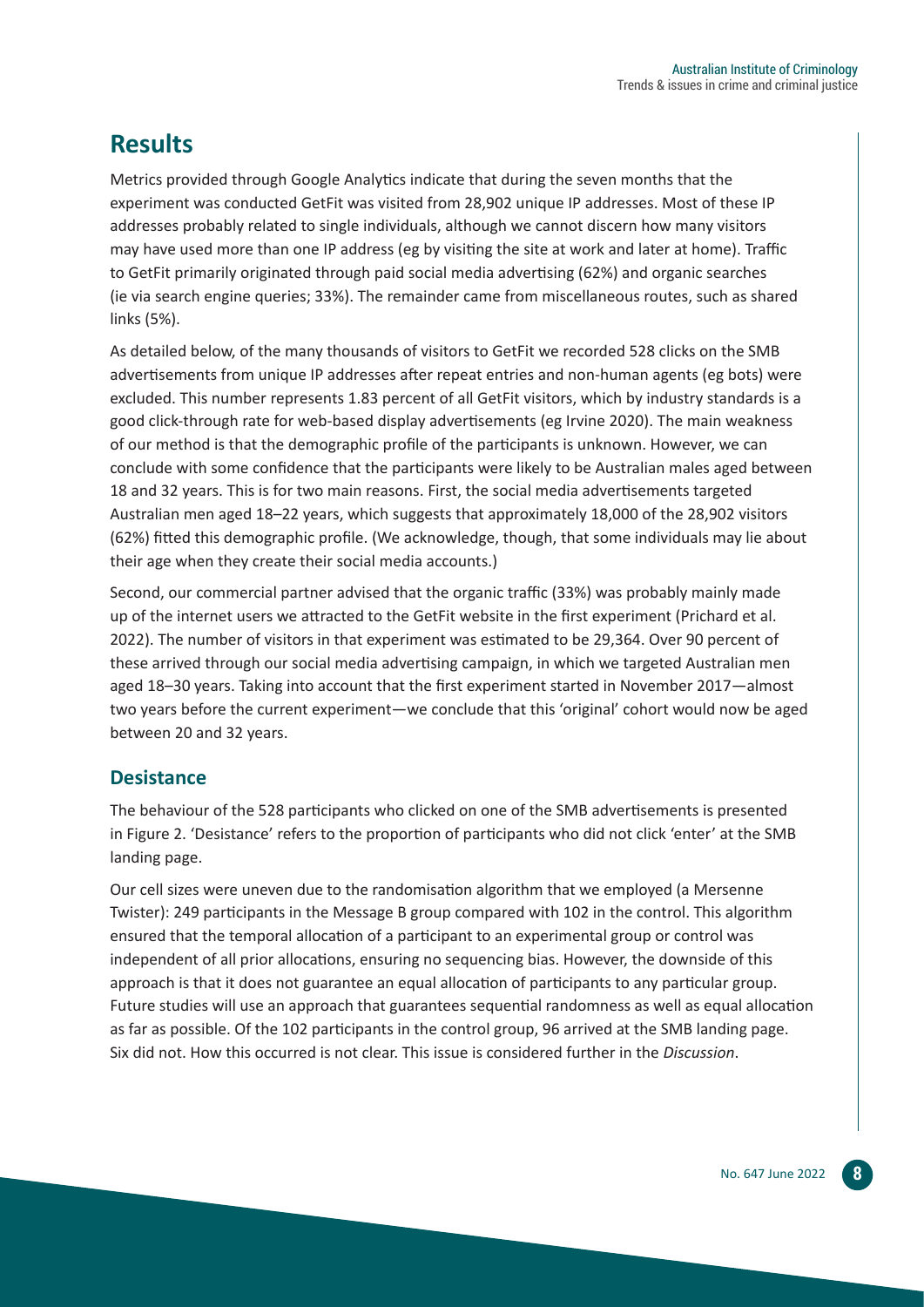# **Results**

Metrics provided through Google Analytics indicate that during the seven months that the experiment was conducted GetFit was visited from 28,902 unique IP addresses. Most of these IP addresses probably related to single individuals, although we cannot discern how many visitors may have used more than one IP address (eg by visiting the site at work and later at home). Traffic to GetFit primarily originated through paid social media advertising (62%) and organic searches (ie via search engine queries; 33%). The remainder came from miscellaneous routes, such as shared links (5%).

As detailed below, of the many thousands of visitors to GetFit we recorded 528 clicks on the SMB advertisements from unique IP addresses after repeat entries and non-human agents (eg bots) were excluded. This number represents 1.83 percent of all GetFit visitors, which by industry standards is a good click-through rate for web-based display advertisements (eg Irvine 2020). The main weakness of our method is that the demographic profile of the participants is unknown. However, we can conclude with some confidence that the participants were likely to be Australian males aged between 18 and 32 years. This is for two main reasons. First, the social media advertisements targeted Australian men aged 18–22 years, which suggests that approximately 18,000 of the 28,902 visitors (62%) fitted this demographic profile. (We acknowledge, though, that some individuals may lie about their age when they create their social media accounts.)

Second, our commercial partner advised that the organic traffic (33%) was probably mainly made up of the internet users we attracted to the GetFit website in the first experiment (Prichard et al. 2022). The number of visitors in that experiment was estimated to be 29,364. Over 90 percent of these arrived through our social media advertising campaign, in which we targeted Australian men aged 18–30 years. Taking into account that the first experiment started in November 2017—almost two years before the current experiment—we conclude that this 'original' cohort would now be aged between 20 and 32 years.

#### **Desistance**

The behaviour of the 528 participants who clicked on one of the SMB advertisements is presented in Figure 2. 'Desistance' refers to the proportion of participants who did not click 'enter' at the SMB landing page.

Our cell sizes were uneven due to the randomisation algorithm that we employed (a Mersenne Twister): 249 participants in the Message B group compared with 102 in the control. This algorithm ensured that the temporal allocation of a participant to an experimental group or control was independent of all prior allocations, ensuring no sequencing bias. However, the downside of this approach is that it does not guarantee an equal allocation of participants to any particular group. Future studies will use an approach that guarantees sequential randomness as well as equal allocation as far as possible. Of the 102 participants in the control group, 96 arrived at the SMB landing page. Six did not. How this occurred is not clear. This issue is considered further in the *Discussion*.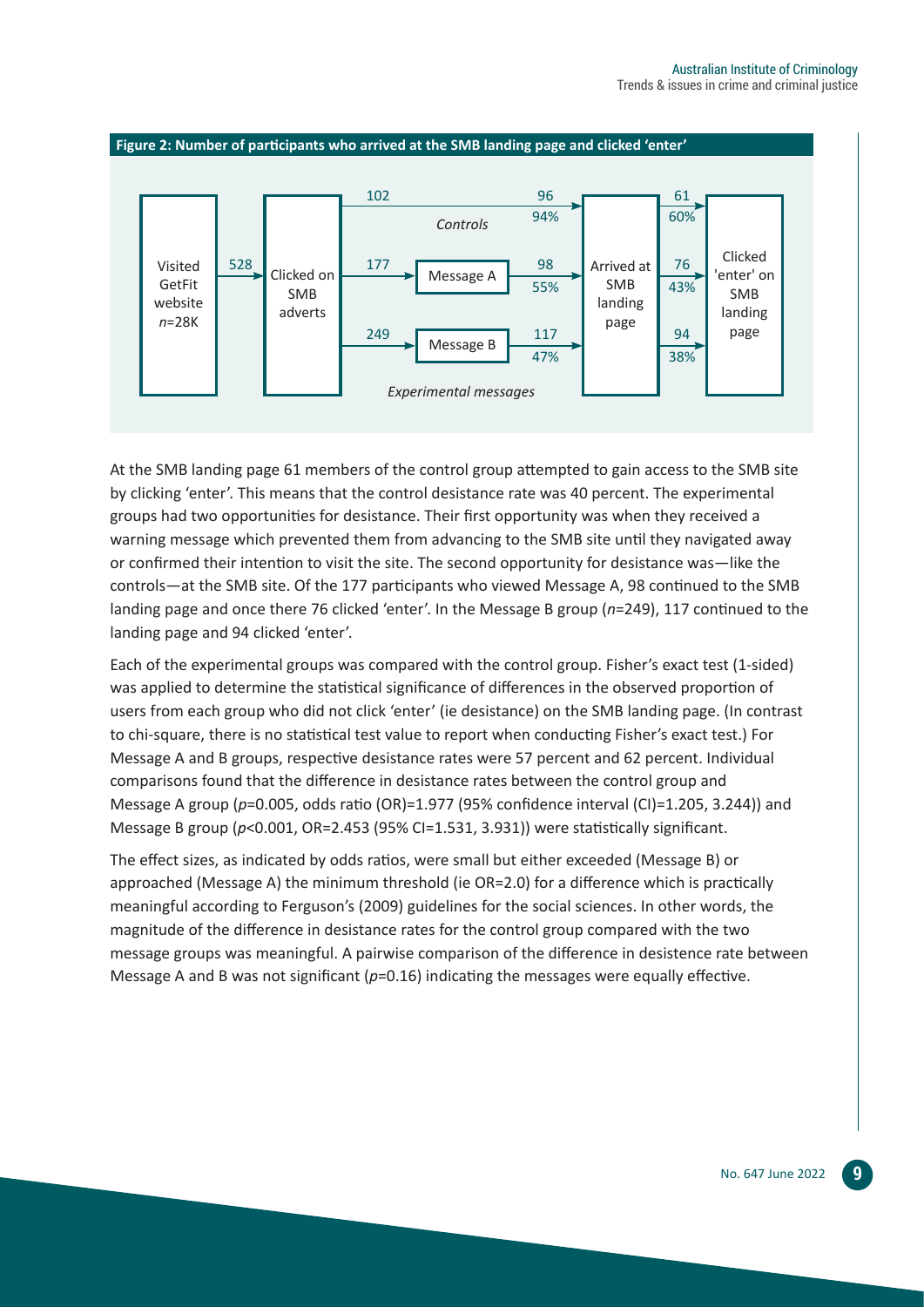

At the SMB landing page 61 members of the control group attempted to gain access to the SMB site by clicking 'enter'. This means that the control desistance rate was 40 percent. The experimental groups had two opportunities for desistance. Their first opportunity was when they received a warning message which prevented them from advancing to the SMB site until they navigated away or confirmed their intention to visit the site. The second opportunity for desistance was—like the controls—at the SMB site. Of the 177 participants who viewed Message A, 98 continued to the SMB landing page and once there 76 clicked 'enter'. In the Message B group (*n*=249), 117 continued to the landing page and 94 clicked 'enter'.

Each of the experimental groups was compared with the control group. Fisher's exact test (1-sided) was applied to determine the statistical significance of differences in the observed proportion of users from each group who did not click 'enter' (ie desistance) on the SMB landing page. (In contrast to chi-square, there is no statistical test value to report when conducting Fisher's exact test.) For Message A and B groups, respective desistance rates were 57 percent and 62 percent. Individual comparisons found that the difference in desistance rates between the control group and Message A group (*p*=0.005, odds ratio (OR)=1.977 (95% confidence interval (CI)=1.205, 3.244)) and Message B group (*p*<0.001, OR=2.453 (95% CI=1.531, 3.931)) were statistically significant.

The effect sizes, as indicated by odds ratios, were small but either exceeded (Message B) or approached (Message A) the minimum threshold (ie OR=2.0) for a difference which is practically meaningful according to Ferguson's (2009) guidelines for the social sciences. In other words, the magnitude of the difference in desistance rates for the control group compared with the two message groups was meaningful. A pairwise comparison of the difference in desistence rate between Message A and B was not significant ( $p=0.16$ ) indicating the messages were equally effective.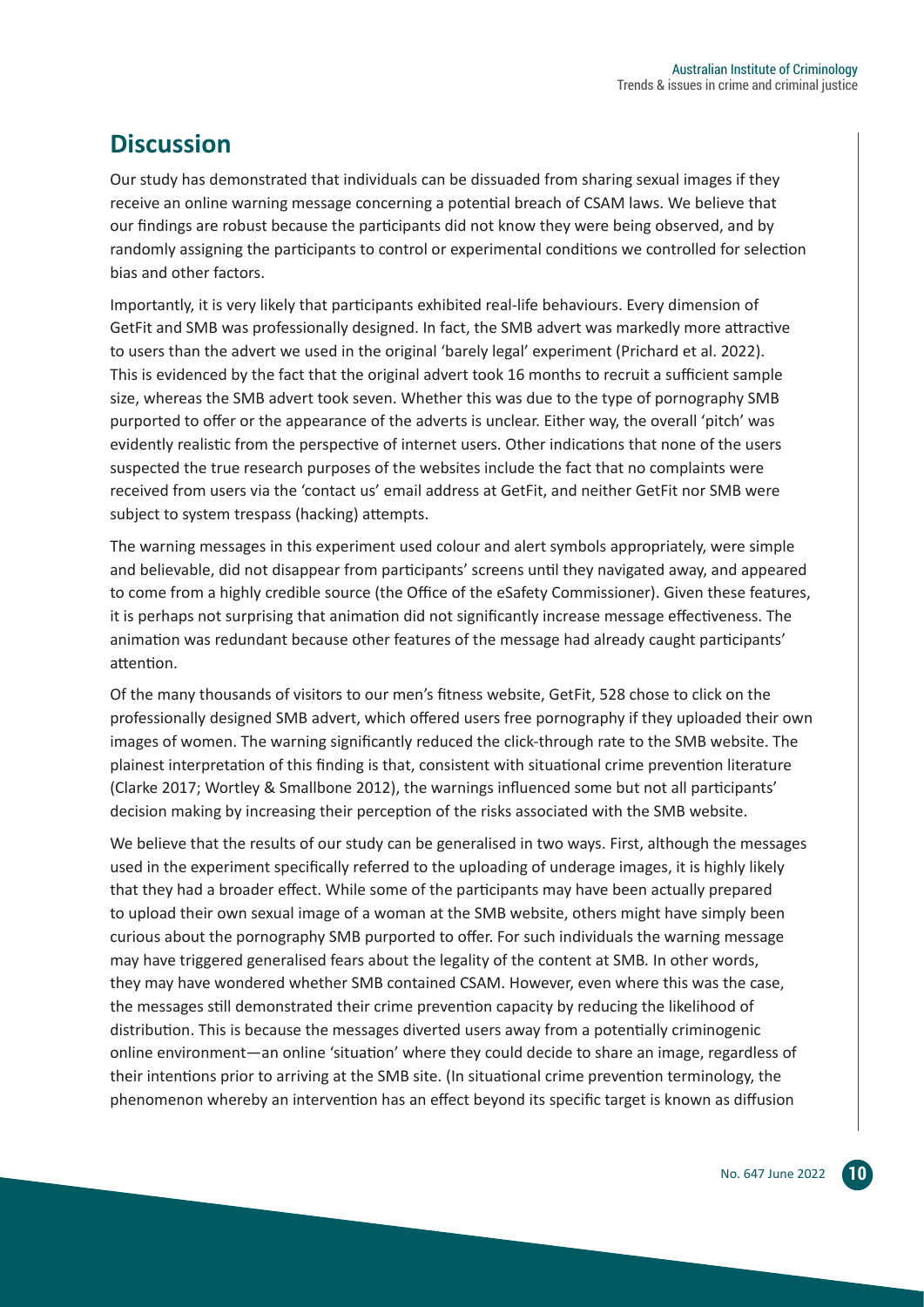# **Discussion**

Our study has demonstrated that individuals can be dissuaded from sharing sexual images if they receive an online warning message concerning a potential breach of CSAM laws. We believe that our findings are robust because the participants did not know they were being observed, and by randomly assigning the participants to control or experimental conditions we controlled for selection bias and other factors.

Importantly, it is very likely that participants exhibited real-life behaviours. Every dimension of GetFit and SMB was professionally designed. In fact, the SMB advert was markedly more attractive to users than the advert we used in the original 'barely legal' experiment (Prichard et al. 2022). This is evidenced by the fact that the original advert took 16 months to recruit a sufficient sample size, whereas the SMB advert took seven. Whether this was due to the type of pornography SMB purported to offer or the appearance of the adverts is unclear. Either way, the overall 'pitch' was evidently realistic from the perspective of internet users. Other indications that none of the users suspected the true research purposes of the websites include the fact that no complaints were received from users via the 'contact us' email address at GetFit, and neither GetFit nor SMB were subject to system trespass (hacking) attempts.

The warning messages in this experiment used colour and alert symbols appropriately, were simple and believable, did not disappear from participants' screens until they navigated away, and appeared to come from a highly credible source (the Office of the eSafety Commissioner). Given these features, it is perhaps not surprising that animation did not significantly increase message effectiveness. The animation was redundant because other features of the message had already caught participants' attention.

Of the many thousands of visitors to our men's fitness website, GetFit, 528 chose to click on the professionally designed SMB advert, which offered users free pornography if they uploaded their own images of women. The warning significantly reduced the click-through rate to the SMB website. The plainest interpretation of this finding is that, consistent with situational crime prevention literature (Clarke 2017; Wortley & Smallbone 2012), the warnings influenced some but not all participants' decision making by increasing their perception of the risks associated with the SMB website.

We believe that the results of our study can be generalised in two ways. First, although the messages used in the experiment specifically referred to the uploading of underage images, it is highly likely that they had a broader effect. While some of the participants may have been actually prepared to upload their own sexual image of a woman at the SMB website, others might have simply been curious about the pornography SMB purported to offer. For such individuals the warning message may have triggered generalised fears about the legality of the content at SMB*.* In other words, they may have wondered whether SMB contained CSAM. However, even where this was the case, the messages still demonstrated their crime prevention capacity by reducing the likelihood of distribution. This is because the messages diverted users away from a potentially criminogenic online environment—an online 'situation' where they could decide to share an image, regardless of their intentions prior to arriving at the SMB site. (In situational crime prevention terminology, the phenomenon whereby an intervention has an effect beyond its specific target is known as diffusion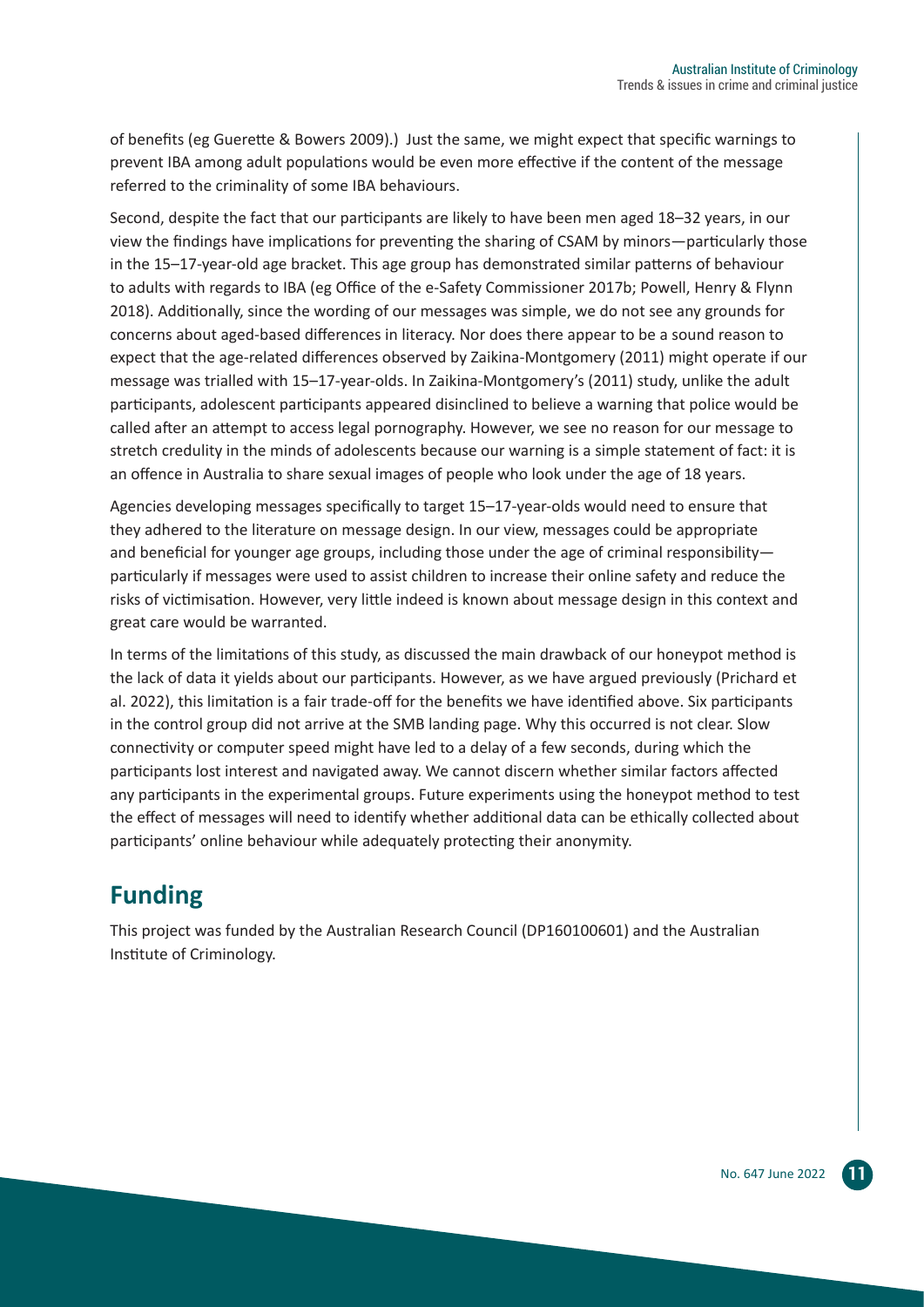of benefits (eg Guerette & Bowers 2009).) Just the same, we might expect that specific warnings to prevent IBA among adult populations would be even more effective if the content of the message referred to the criminality of some IBA behaviours.

Second, despite the fact that our participants are likely to have been men aged 18–32 years, in our view the findings have implications for preventing the sharing of CSAM by minors—particularly those in the 15–17-year-old age bracket. This age group has demonstrated similar patterns of behaviour to adults with regards to IBA (eg Office of the e-Safety Commissioner 2017b; Powell, Henry & Flynn 2018). Additionally, since the wording of our messages was simple, we do not see any grounds for concerns about aged-based differences in literacy. Nor does there appear to be a sound reason to expect that the age-related differences observed by Zaikina-Montgomery (2011) might operate if our message was trialled with 15–17-year-olds. In Zaikina-Montgomery's (2011) study, unlike the adult participants, adolescent participants appeared disinclined to believe a warning that police would be called after an attempt to access legal pornography. However, we see no reason for our message to stretch credulity in the minds of adolescents because our warning is a simple statement of fact: it is an offence in Australia to share sexual images of people who look under the age of 18 years.

Agencies developing messages specifically to target 15–17-year-olds would need to ensure that they adhered to the literature on message design. In our view, messages could be appropriate and beneficial for younger age groups, including those under the age of criminal responsibility particularly if messages were used to assist children to increase their online safety and reduce the risks of victimisation. However, very little indeed is known about message design in this context and great care would be warranted.

In terms of the limitations of this study, as discussed the main drawback of our honeypot method is the lack of data it yields about our participants. However, as we have argued previously (Prichard et al. 2022), this limitation is a fair trade-off for the benefits we have identified above. Six participants in the control group did not arrive at the SMB landing page. Why this occurred is not clear. Slow connectivity or computer speed might have led to a delay of a few seconds, during which the participants lost interest and navigated away. We cannot discern whether similar factors affected any participants in the experimental groups. Future experiments using the honeypot method to test the effect of messages will need to identify whether additional data can be ethically collected about participants' online behaviour while adequately protecting their anonymity.

# **Funding**

This project was funded by the Australian Research Council (DP160100601) and the Australian Institute of Criminology.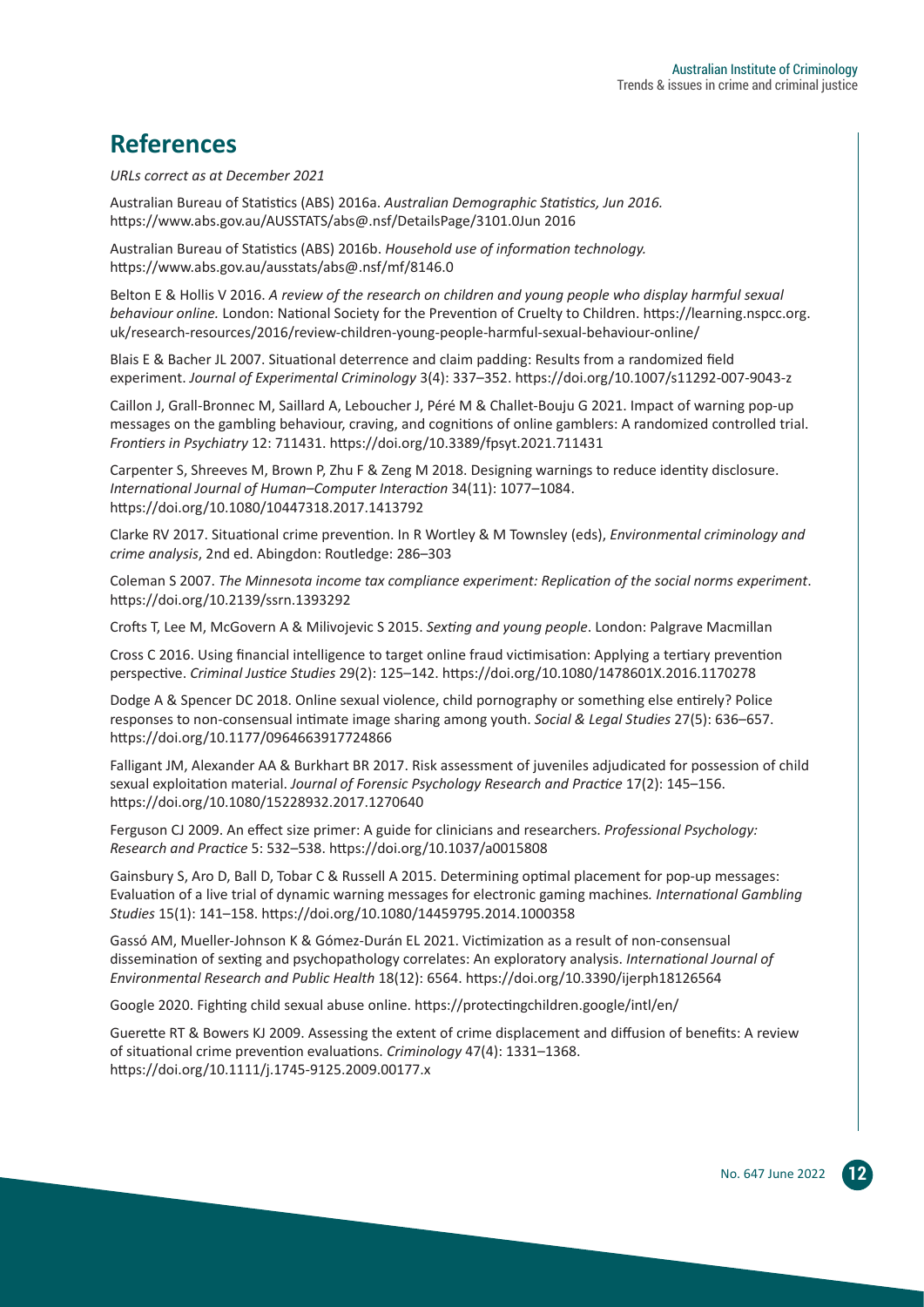# **References**

*URLs correct as at December 2021*

Australian Bureau of Statistics (ABS) 2016a. *Australian Demographic Statistics, Jun 2016.* https://www.abs.gov.au/AUSSTATS/abs@.nsf/DetailsPage/3101.0Jun 2016

Australian Bureau of Statistics (ABS) 2016b. *Household use of information technology.* https://www.abs.gov.au/ausstats/abs@.nsf/mf/8146.0

Belton E & Hollis V 2016. *A review of the research on children and young people who display harmful sexual behaviour online.* London: National Society for the Prevention of Cruelty to Children. https://learning.nspcc.org. uk/research-resources/2016/review-children-young-people-harmful-sexual-behaviour-online/

Blais E & Bacher JL 2007. Situational deterrence and claim padding: Results from a randomized field experiment. *Journal of Experimental Criminology* 3(4): 337–352. https://doi.org/10.1007/s11292-007-9043-z

Caillon J, Grall-Bronnec M, Saillard A, Leboucher J, Péré M & Challet-Bouju G 2021. Impact of warning pop-up messages on the gambling behaviour, craving, and cognitions of online gamblers: A randomized controlled trial. *Frontiers in Psychiatry* 12: 711431. https://doi.org/10.3389/fpsyt.2021.711431

Carpenter S, Shreeves M, Brown P, Zhu F & Zeng M 2018. Designing warnings to reduce identity disclosure. *International Journal of Human–Computer Interaction* 34(11): 1077–1084. https://doi.org/10.1080/10447318.2017.1413792

Clarke RV 2017. Situational crime prevention. In R Wortley & M Townsley (eds), *Environmental criminology and crime analysis*, 2nd ed. Abingdon: Routledge: 286–303

Coleman S 2007. *The Minnesota income tax compliance experiment: Replication of the social norms experiment*. https://doi.org/10.2139/ssrn.1393292

Crofts T, Lee M, McGovern A & Milivojevic S 2015. *Sexting and young people*. London: Palgrave Macmillan

Cross C 2016. Using financial intelligence to target online fraud victimisation: Applying a tertiary prevention perspective. *Criminal Justice Studies* 29(2): 125–142. https://doi.org/10.1080/1478601X.2016.1170278

Dodge A & Spencer DC 2018. Online sexual violence, child pornography or something else entirely? Police responses to non-consensual intimate image sharing among youth. *Social & Legal Studies* 27(5): 636–657. https://doi.org/10.1177/0964663917724866

Falligant JM, Alexander AA & Burkhart BR 2017. Risk assessment of juveniles adjudicated for possession of child sexual exploitation material. *Journal of Forensic Psychology Research and Practice* 17(2): 145–156. https://doi.org/10.1080/15228932.2017.1270640

Ferguson CJ 2009. An effect size primer: A guide for clinicians and researchers. *Professional Psychology: Research and Practice* 5: 532–538. https://doi.org/10.1037/a0015808

Gainsbury S, Aro D, Ball D, Tobar C & Russell A 2015. Determining optimal placement for pop-up messages: Evaluation of a live trial of dynamic warning messages for electronic gaming machines*. International Gambling Studies* 15(1): 141–158. https://doi.org/10.1080/14459795.2014.1000358

Gassó AM, Mueller-Johnson K & Gómez-Durán EL 2021. Victimization as a result of non-consensual dissemination of sexting and psychopathology correlates: An exploratory analysis. *International Journal of Environmental Research and Public Health* 18(12): 6564. https://doi.org/10.3390/ijerph18126564

Google 2020. Fighting child sexual abuse online. https://protectingchildren.google/intl/en/

Guerette RT & Bowers KJ 2009. Assessing the extent of crime displacement and diffusion of benefits: A review of situational crime prevention evaluations. *Criminology* 47(4): 1331–1368. https://doi.org/10.1111/j.1745-9125.2009.00177.x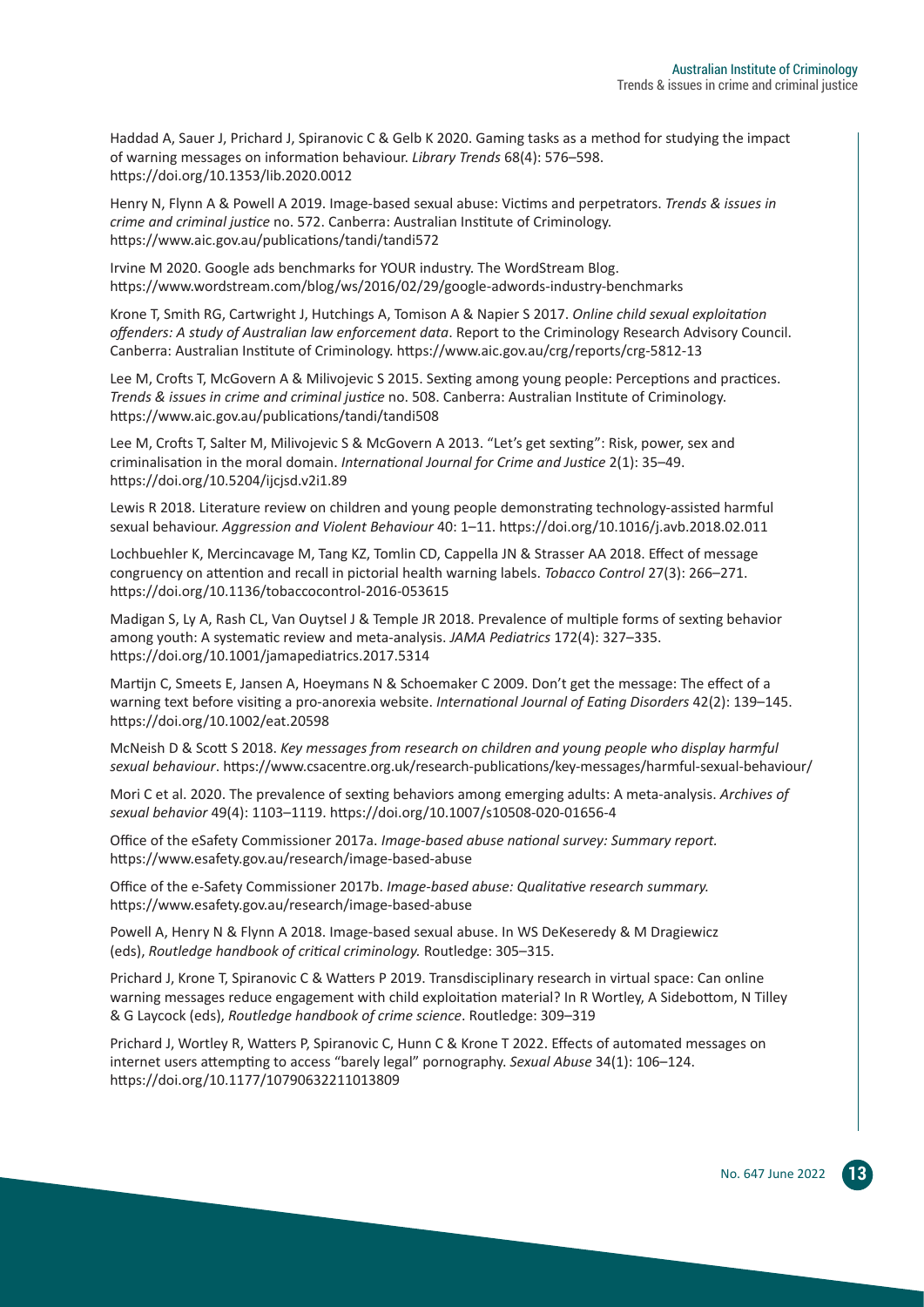Haddad A, Sauer J, Prichard J, Spiranovic C & Gelb K 2020. Gaming tasks as a method for studying the impact of warning messages on information behaviour. *Library Trends* 68(4): 576–598. https://doi.org/10.1353/lib.2020.0012

Henry N, Flynn A & Powell A 2019. Image-based sexual abuse: Victims and perpetrators. *Trends & issues in crime and criminal justice* no. 572. Canberra: Australian Institute of Criminology. https://www.aic.gov.au/publications/tandi/tandi572

Irvine M 2020. Google ads benchmarks for YOUR industry. The WordStream Blog. https://www.wordstream.com/blog/ws/2016/02/29/google-adwords-industry-benchmarks

Krone T, Smith RG, Cartwright J, Hutchings A, Tomison A & Napier S 2017. *Online child sexual exploitation offenders: A study of Australian law enforcement data*. Report to the Criminology Research Advisory Council. Canberra: Australian Institute of Criminology. https://www.aic.gov.au/crg/reports/crg-5812-13

Lee M, Crofts T, McGovern A & Milivojevic S 2015. Sexting among young people: Perceptions and practices. *Trends & issues in crime and criminal justice* no. 508. Canberra: Australian Institute of Criminology. https://www.aic.gov.au/publications/tandi/tandi508

Lee M, Crofts T, Salter M, Milivojevic S & McGovern A 2013. "Let's get sexting": Risk, power, sex and criminalisation in the moral domain. *International Journal for Crime and Justice* 2(1): 35–49. https://doi.org/10.5204/ijcjsd.v2i1.89

Lewis R 2018. Literature review on children and young people demonstrating technology-assisted harmful sexual behaviour. *Aggression and Violent Behaviour* 40: 1–11. https://doi.org/10.1016/j.avb.2018.02.011

Lochbuehler K, Mercincavage M, Tang KZ, Tomlin CD, Cappella JN & Strasser AA 2018. Effect of message congruency on attention and recall in pictorial health warning labels. *Tobacco Control* 27(3): 266–271. https://doi.org/10.1136/tobaccocontrol-2016-053615

Madigan S, Ly A, Rash CL, Van Ouytsel J & Temple JR 2018. Prevalence of multiple forms of sexting behavior among youth: A systematic review and meta-analysis. *JAMA Pediatrics* 172(4): 327–335. https://doi.org/10.1001/jamapediatrics.2017.5314

Martijn C, Smeets E, Jansen A, Hoeymans N & Schoemaker C 2009. Don't get the message: The effect of a warning text before visiting a pro-anorexia website. *International Journal of Eating Disorders* 42(2): 139–145. https://doi.org/10.1002/eat.20598

McNeish D & Scott S 2018. *Key messages from research on children and young people who display harmful sexual behaviour*. https://www.csacentre.org.uk/research-publications/key-messages/harmful-sexual-behaviour/

Mori C et al. 2020. The prevalence of sexting behaviors among emerging adults: A meta-analysis. *Archives of sexual behavior* 49(4): 1103–1119. https://doi.org/10.1007/s10508-020-01656-4

Office of the eSafety Commissioner 2017a. *Image-based abuse national survey: Summary report.* https://www.esafety.gov.au/research/image-based-abuse

Office of the e-Safety Commissioner 2017b. *Image-based abuse: Qualitative research summary.* https://www.esafety.gov.au/research/image-based-abuse

Powell A, Henry N & Flynn A 2018. Image-based sexual abuse. In WS DeKeseredy & M Dragiewicz (eds), *Routledge handbook of critical criminology.* Routledge: 305–315.

Prichard J, Krone T, Spiranovic C & Watters P 2019. Transdisciplinary research in virtual space: Can online warning messages reduce engagement with child exploitation material? In R Wortley, A Sidebottom, N Tilley & G Laycock (eds), *Routledge handbook of crime science*. Routledge: 309–319

Prichard J, Wortley R, Watters P, Spiranovic C, Hunn C & Krone T 2022. Effects of automated messages on internet users attempting to access "barely legal" pornography. *Sexual Abuse* 34(1): 106–124. https://doi.org/10.1177/10790632211013809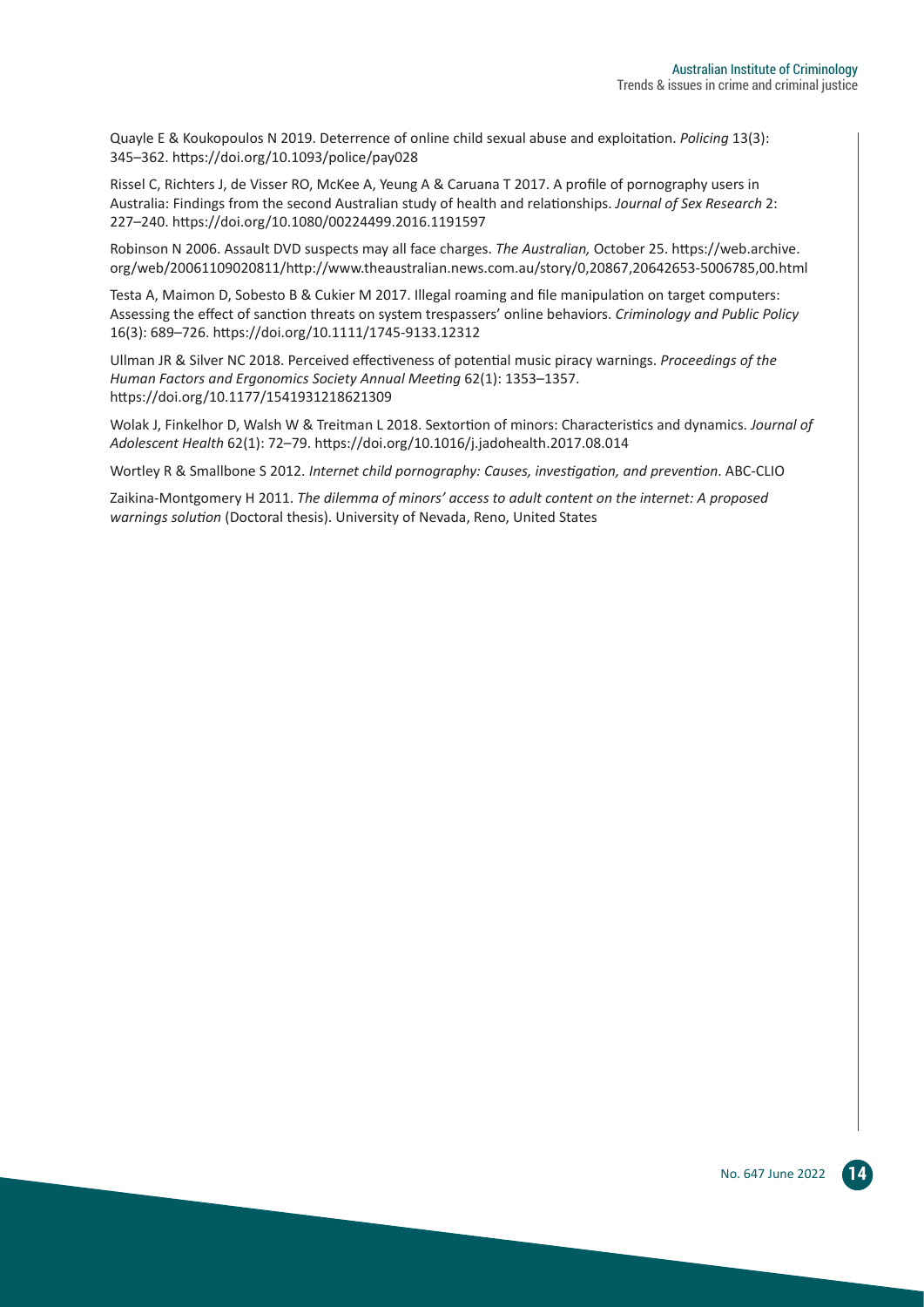Quayle E & Koukopoulos N 2019. Deterrence of online child sexual abuse and exploitation. *Policing* 13(3): 345–362. https://doi.org/10.1093/police/pay028

Rissel C, Richters J, de Visser RO, McKee A, Yeung A & Caruana T 2017. A profile of pornography users in Australia: Findings from the second Australian study of health and relationships. *Journal of Sex Research* 2: 227–240. https://doi.org/10.1080/00224499.2016.1191597

Robinson N 2006. Assault DVD suspects may all face charges. *The Australian,* October 25. https://web.archive. org/web/20061109020811/http://www.theaustralian.news.com.au/story/0,20867,20642653-5006785,00.html

Testa A, Maimon D, Sobesto B & Cukier M 2017. Illegal roaming and file manipulation on target computers: Assessing the effect of sanction threats on system trespassers' online behaviors. *Criminology and Public Policy* 16(3): 689–726. https://doi.org/10.1111/1745-9133.12312

Ullman JR & Silver NC 2018. Perceived effectiveness of potential music piracy warnings. *Proceedings of the Human Factors and Ergonomics Society Annual Meeting* 62(1): 1353–1357. https://doi.org/10.1177/1541931218621309

Wolak J, Finkelhor D, Walsh W & Treitman L 2018. Sextortion of minors: Characteristics and dynamics. *Journal of Adolescent Health* 62(1): 72–79. https://doi.org/10.1016/j.jadohealth.2017.08.014

Wortley R & Smallbone S 2012. *Internet child pornography: Causes, investigation, and prevention*. ABC-CLIO

Zaikina-Montgomery H 2011. *The dilemma of minors' access to adult content on the internet: A proposed warnings solution* (Doctoral thesis). University of Nevada, Reno, United States